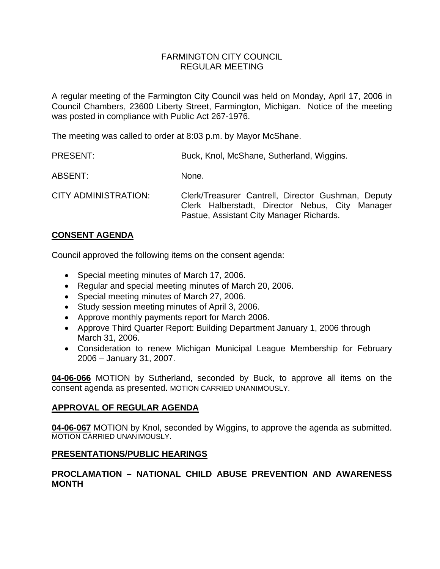## FARMINGTON CITY COUNCIL REGULAR MEETING

A regular meeting of the Farmington City Council was held on Monday, April 17, 2006 in Council Chambers, 23600 Liberty Street, Farmington, Michigan. Notice of the meeting was posted in compliance with Public Act 267-1976.

The meeting was called to order at 8:03 p.m. by Mayor McShane.

| <b>PRESENT:</b>             | Buck, Knol, McShane, Sutherland, Wiggins.                                                                                                         |
|-----------------------------|---------------------------------------------------------------------------------------------------------------------------------------------------|
| ABSENT:                     | None.                                                                                                                                             |
| <b>CITY ADMINISTRATION:</b> | Clerk/Treasurer Cantrell, Director Gushman, Deputy<br>Clerk Halberstadt, Director Nebus, City Manager<br>Pastue, Assistant City Manager Richards. |

## **CONSENT AGENDA**

Council approved the following items on the consent agenda:

- Special meeting minutes of March 17, 2006.
- Regular and special meeting minutes of March 20, 2006.
- Special meeting minutes of March 27, 2006.
- Study session meeting minutes of April 3, 2006.
- Approve monthly payments report for March 2006.
- Approve Third Quarter Report: Building Department January 1, 2006 through March 31, 2006.
- Consideration to renew Michigan Municipal League Membership for February 2006 – January 31, 2007.

**04-06-066** MOTION by Sutherland, seconded by Buck, to approve all items on the consent agenda as presented. MOTION CARRIED UNANIMOUSLY.

## **APPROVAL OF REGULAR AGENDA**

**04-06-067** MOTION by Knol, seconded by Wiggins, to approve the agenda as submitted. MOTION CARRIED UNANIMOUSLY.

## **PRESENTATIONS/PUBLIC HEARINGS**

# **PROCLAMATION – NATIONAL CHILD ABUSE PREVENTION AND AWARENESS MONTH**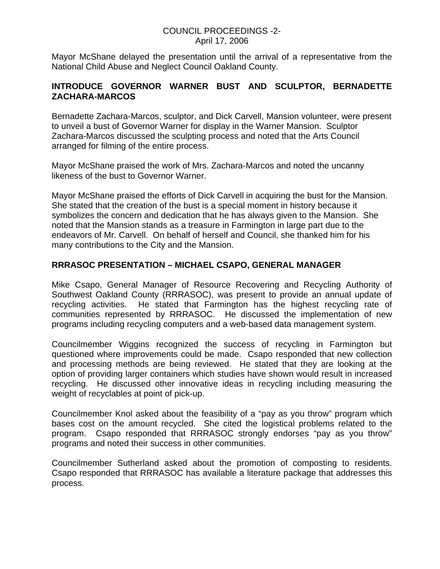### COUNCIL PROCEEDINGS -2- April 17, 2006

Mayor McShane delayed the presentation until the arrival of a representative from the National Child Abuse and Neglect Council Oakland County.

## **INTRODUCE GOVERNOR WARNER BUST AND SCULPTOR, BERNADETTE ZACHARA-MARCOS**

Bernadette Zachara-Marcos, sculptor, and Dick Carvell, Mansion volunteer, were present to unveil a bust of Governor Warner for display in the Warner Mansion. Sculptor Zachara-Marcos discussed the sculpting process and noted that the Arts Council arranged for filming of the entire process.

Mayor McShane praised the work of Mrs. Zachara-Marcos and noted the uncanny likeness of the bust to Governor Warner.

Mayor McShane praised the efforts of Dick Carvell in acquiring the bust for the Mansion. She stated that the creation of the bust is a special moment in history because it symbolizes the concern and dedication that he has always given to the Mansion. She noted that the Mansion stands as a treasure in Farmington in large part due to the endeavors of Mr. Carvell. On behalf of herself and Council, she thanked him for his many contributions to the City and the Mansion.

# **RRRASOC PRESENTATION – MICHAEL CSAPO, GENERAL MANAGER**

Mike Csapo, General Manager of Resource Recovering and Recycling Authority of Southwest Oakland County (RRRASOC), was present to provide an annual update of recycling activities. He stated that Farmington has the highest recycling rate of communities represented by RRRASOC. He discussed the implementation of new programs including recycling computers and a web-based data management system.

Councilmember Wiggins recognized the success of recycling in Farmington but questioned where improvements could be made. Csapo responded that new collection and processing methods are being reviewed. He stated that they are looking at the option of providing larger containers which studies have shown would result in increased recycling. He discussed other innovative ideas in recycling including measuring the weight of recyclables at point of pick-up.

Councilmember Knol asked about the feasibility of a "pay as you throw" program which bases cost on the amount recycled. She cited the logistical problems related to the program. Csapo responded that RRRASOC strongly endorses "pay as you throw" programs and noted their success in other communities.

Councilmember Sutherland asked about the promotion of composting to residents. Csapo responded that RRRASOC has available a literature package that addresses this process.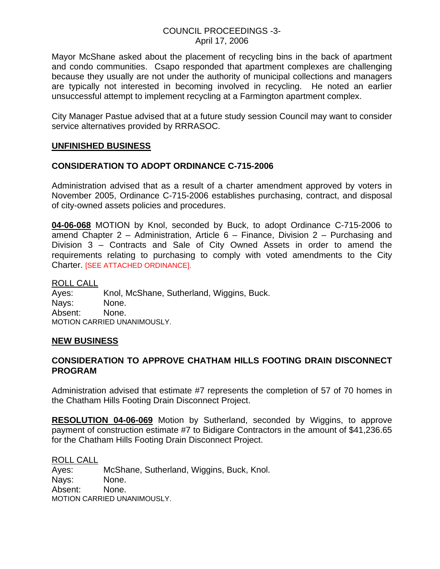### COUNCIL PROCEEDINGS -3- April 17, 2006

Mayor McShane asked about the placement of recycling bins in the back of apartment and condo communities. Csapo responded that apartment complexes are challenging because they usually are not under the authority of municipal collections and managers are typically not interested in becoming involved in recycling. He noted an earlier unsuccessful attempt to implement recycling at a Farmington apartment complex.

City Manager Pastue advised that at a future study session Council may want to consider service alternatives provided by RRRASOC.

## **UNFINISHED BUSINESS**

# **CONSIDERATION TO ADOPT ORDINANCE C-715-2006**

Administration advised that as a result of a charter amendment approved by voters in November 2005, Ordinance C-715-2006 establishes purchasing, contract, and disposal of city-owned assets policies and procedures.

**04-06-068** MOTION by Knol, seconded by Buck, to adopt Ordinance C-715-2006 to amend Chapter 2 – Administration, Article 6 – Finance, Division 2 – Purchasing and Division 3 – Contracts and Sale of City Owned Assets in order to amend the requirements relating to purchasing to comply with voted amendments to the City Charter. [SEE ATTACHED ORDINANCE].

ROLL CALL Ayes: Knol, McShane, Sutherland, Wiggins, Buck. Nays: None. Absent: None. MOTION CARRIED UNANIMOUSLY.

#### **NEW BUSINESS**

## **CONSIDERATION TO APPROVE CHATHAM HILLS FOOTING DRAIN DISCONNECT PROGRAM**

Administration advised that estimate #7 represents the completion of 57 of 70 homes in the Chatham Hills Footing Drain Disconnect Project.

**RESOLUTION 04-06-069** Motion by Sutherland, seconded by Wiggins, to approve payment of construction estimate #7 to Bidigare Contractors in the amount of \$41,236.65 for the Chatham Hills Footing Drain Disconnect Project.

ROLL CALL Ayes: McShane, Sutherland, Wiggins, Buck, Knol. Nays: None. Absent: None. MOTION CARRIED UNANIMOUSLY.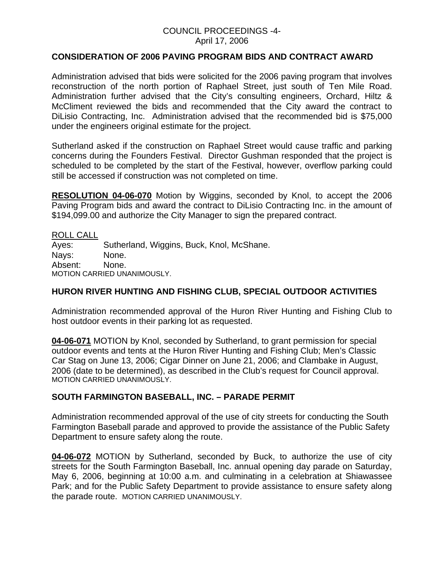#### COUNCIL PROCEEDINGS -4- April 17, 2006

### **CONSIDERATION OF 2006 PAVING PROGRAM BIDS AND CONTRACT AWARD**

Administration advised that bids were solicited for the 2006 paving program that involves reconstruction of the north portion of Raphael Street, just south of Ten Mile Road. Administration further advised that the City's consulting engineers, Orchard, Hiltz & McCliment reviewed the bids and recommended that the City award the contract to DiLisio Contracting, Inc. Administration advised that the recommended bid is \$75,000 under the engineers original estimate for the project.

Sutherland asked if the construction on Raphael Street would cause traffic and parking concerns during the Founders Festival. Director Gushman responded that the project is scheduled to be completed by the start of the Festival, however, overflow parking could still be accessed if construction was not completed on time.

**RESOLUTION 04-06-070** Motion by Wiggins, seconded by Knol, to accept the 2006 Paving Program bids and award the contract to DiLisio Contracting Inc. in the amount of \$194,099.00 and authorize the City Manager to sign the prepared contract.

ROLL CALL Ayes: Sutherland, Wiggins, Buck, Knol, McShane. Nays: None. Absent: None. MOTION CARRIED UNANIMOUSLY.

## **HURON RIVER HUNTING AND FISHING CLUB, SPECIAL OUTDOOR ACTIVITIES**

Administration recommended approval of the Huron River Hunting and Fishing Club to host outdoor events in their parking lot as requested.

**04-06-071** MOTION by Knol, seconded by Sutherland, to grant permission for special outdoor events and tents at the Huron River Hunting and Fishing Club; Men's Classic Car Stag on June 13, 2006; Cigar Dinner on June 21, 2006; and Clambake in August, 2006 (date to be determined), as described in the Club's request for Council approval. MOTION CARRIED UNANIMOUSLY.

## **SOUTH FARMINGTON BASEBALL, INC. – PARADE PERMIT**

Administration recommended approval of the use of city streets for conducting the South Farmington Baseball parade and approved to provide the assistance of the Public Safety Department to ensure safety along the route.

**04-06-072** MOTION by Sutherland, seconded by Buck, to authorize the use of city streets for the South Farmington Baseball, Inc. annual opening day parade on Saturday, May 6, 2006, beginning at 10:00 a.m. and culminating in a celebration at Shiawassee Park; and for the Public Safety Department to provide assistance to ensure safety along the parade route. MOTION CARRIED UNANIMOUSLY.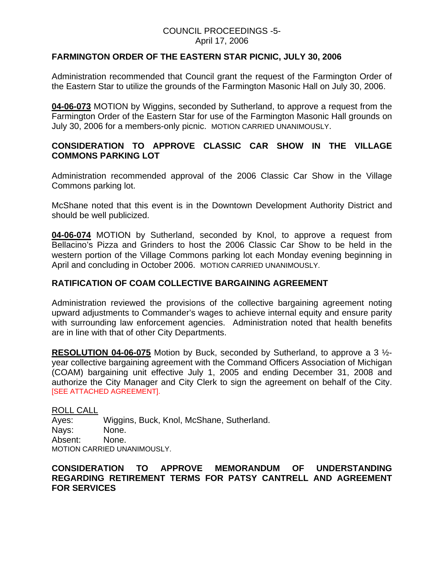### COUNCIL PROCEEDINGS -5- April 17, 2006

## **FARMINGTON ORDER OF THE EASTERN STAR PICNIC, JULY 30, 2006**

Administration recommended that Council grant the request of the Farmington Order of the Eastern Star to utilize the grounds of the Farmington Masonic Hall on July 30, 2006.

**04-06-073** MOTION by Wiggins, seconded by Sutherland, to approve a request from the Farmington Order of the Eastern Star for use of the Farmington Masonic Hall grounds on July 30, 2006 for a members-only picnic. MOTION CARRIED UNANIMOUSLY.

## **CONSIDERATION TO APPROVE CLASSIC CAR SHOW IN THE VILLAGE COMMONS PARKING LOT**

Administration recommended approval of the 2006 Classic Car Show in the Village Commons parking lot.

McShane noted that this event is in the Downtown Development Authority District and should be well publicized.

**04-06-074** MOTION by Sutherland, seconded by Knol, to approve a request from Bellacino's Pizza and Grinders to host the 2006 Classic Car Show to be held in the western portion of the Village Commons parking lot each Monday evening beginning in April and concluding in October 2006. MOTION CARRIED UNANIMOUSLY.

### **RATIFICATION OF COAM COLLECTIVE BARGAINING AGREEMENT**

Administration reviewed the provisions of the collective bargaining agreement noting upward adjustments to Commander's wages to achieve internal equity and ensure parity with surrounding law enforcement agencies. Administration noted that health benefits are in line with that of other City Departments.

**RESOLUTION 04-06-075** Motion by Buck, seconded by Sutherland, to approve a 3 ½ year collective bargaining agreement with the Command Officers Association of Michigan (COAM) bargaining unit effective July 1, 2005 and ending December 31, 2008 and authorize the City Manager and City Clerk to sign the agreement on behalf of the City. [SEE ATTACHED AGREEMENT].

ROLL CALL

Ayes: Wiggins, Buck, Knol, McShane, Sutherland. Nays: None. Absent: None. MOTION CARRIED UNANIMOUSLY.

## **CONSIDERATION TO APPROVE MEMORANDUM OF UNDERSTANDING REGARDING RETIREMENT TERMS FOR PATSY CANTRELL AND AGREEMENT FOR SERVICES**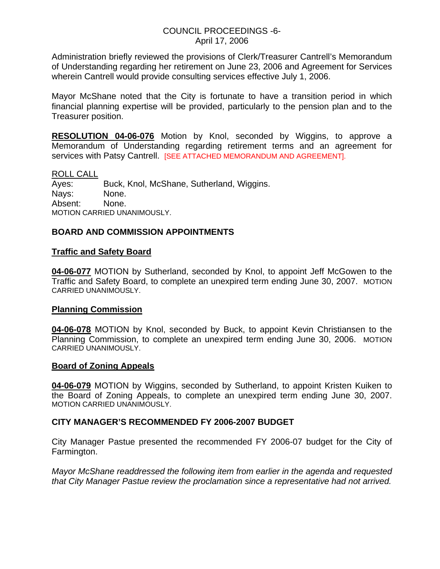#### COUNCIL PROCEEDINGS -6- April 17, 2006

Administration briefly reviewed the provisions of Clerk/Treasurer Cantrell's Memorandum of Understanding regarding her retirement on June 23, 2006 and Agreement for Services wherein Cantrell would provide consulting services effective July 1, 2006.

Mayor McShane noted that the City is fortunate to have a transition period in which financial planning expertise will be provided, particularly to the pension plan and to the Treasurer position.

**RESOLUTION 04-06-076** Motion by Knol, seconded by Wiggins, to approve a Memorandum of Understanding regarding retirement terms and an agreement for services with Patsy Cantrell. [SEE ATTACHED MEMORANDUM AND AGREEMENT].

#### ROLL CALL

Ayes: Buck, Knol, McShane, Sutherland, Wiggins. Nays: None. Absent: None. MOTION CARRIED UNANIMOUSLY.

### **BOARD AND COMMISSION APPOINTMENTS**

#### **Traffic and Safety Board**

**04-06-077** MOTION by Sutherland, seconded by Knol, to appoint Jeff McGowen to the Traffic and Safety Board, to complete an unexpired term ending June 30, 2007. MOTION CARRIED UNANIMOUSLY.

#### **Planning Commission**

**04-06-078** MOTION by Knol, seconded by Buck, to appoint Kevin Christiansen to the Planning Commission, to complete an unexpired term ending June 30, 2006. MOTION CARRIED UNANIMOUSLY.

#### **Board of Zoning Appeals**

**04-06-079** MOTION by Wiggins, seconded by Sutherland, to appoint Kristen Kuiken to the Board of Zoning Appeals, to complete an unexpired term ending June 30, 2007. MOTION CARRIED UNANIMOUSLY.

#### **CITY MANAGER'S RECOMMENDED FY 2006-2007 BUDGET**

City Manager Pastue presented the recommended FY 2006-07 budget for the City of Farmington.

*Mayor McShane readdressed the following item from earlier in the agenda and requested that City Manager Pastue review the proclamation since a representative had not arrived.*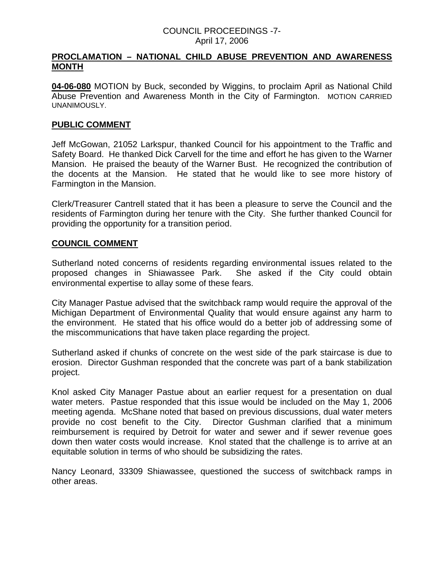#### COUNCIL PROCEEDINGS -7- April 17, 2006

### **PROCLAMATION – NATIONAL CHILD ABUSE PREVENTION AND AWARENESS MONTH**

**04-06-080** MOTION by Buck, seconded by Wiggins, to proclaim April as National Child Abuse Prevention and Awareness Month in the City of Farmington. MOTION CARRIED UNANIMOUSLY.

#### **PUBLIC COMMENT**

Jeff McGowan, 21052 Larkspur, thanked Council for his appointment to the Traffic and Safety Board. He thanked Dick Carvell for the time and effort he has given to the Warner Mansion. He praised the beauty of the Warner Bust. He recognized the contribution of the docents at the Mansion. He stated that he would like to see more history of Farmington in the Mansion.

Clerk/Treasurer Cantrell stated that it has been a pleasure to serve the Council and the residents of Farmington during her tenure with the City. She further thanked Council for providing the opportunity for a transition period.

### **COUNCIL COMMENT**

Sutherland noted concerns of residents regarding environmental issues related to the proposed changes in Shiawassee Park. She asked if the City could obtain environmental expertise to allay some of these fears.

City Manager Pastue advised that the switchback ramp would require the approval of the Michigan Department of Environmental Quality that would ensure against any harm to the environment. He stated that his office would do a better job of addressing some of the miscommunications that have taken place regarding the project.

Sutherland asked if chunks of concrete on the west side of the park staircase is due to erosion. Director Gushman responded that the concrete was part of a bank stabilization project.

Knol asked City Manager Pastue about an earlier request for a presentation on dual water meters. Pastue responded that this issue would be included on the May 1, 2006 meeting agenda. McShane noted that based on previous discussions, dual water meters provide no cost benefit to the City. Director Gushman clarified that a minimum reimbursement is required by Detroit for water and sewer and if sewer revenue goes down then water costs would increase. Knol stated that the challenge is to arrive at an equitable solution in terms of who should be subsidizing the rates.

Nancy Leonard, 33309 Shiawassee, questioned the success of switchback ramps in other areas.